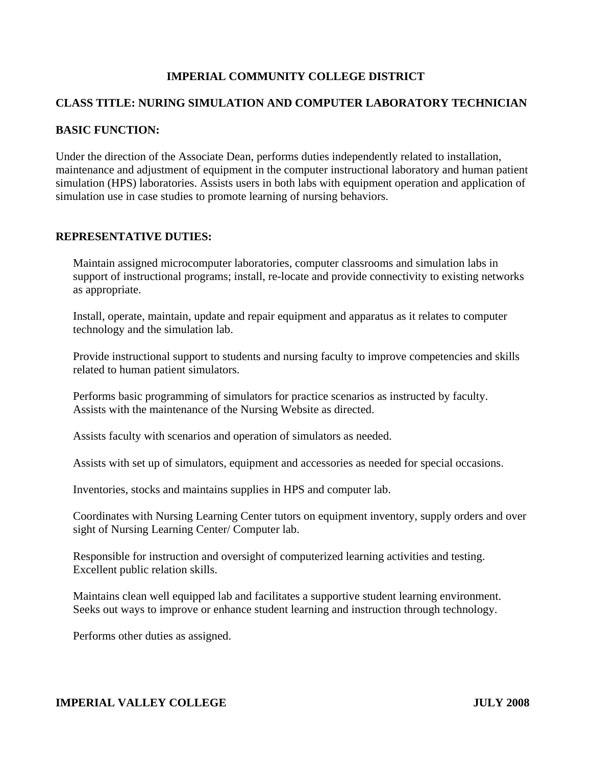# **IMPERIAL COMMUNITY COLLEGE DISTRICT**

## **CLASS TITLE: NURING SIMULATION AND COMPUTER LABORATORY TECHNICIAN**

#### **BASIC FUNCTION:**

Under the direction of the Associate Dean, performs duties independently related to installation, maintenance and adjustment of equipment in the computer instructional laboratory and human patient simulation (HPS) laboratories. Assists users in both labs with equipment operation and application of simulation use in case studies to promote learning of nursing behaviors.

#### **REPRESENTATIVE DUTIES:**

Maintain assigned microcomputer laboratories, computer classrooms and simulation labs in support of instructional programs; install, re-locate and provide connectivity to existing networks as appropriate.

Install, operate, maintain, update and repair equipment and apparatus as it relates to computer technology and the simulation lab.

Provide instructional support to students and nursing faculty to improve competencies and skills related to human patient simulators.

Performs basic programming of simulators for practice scenarios as instructed by faculty. Assists with the maintenance of the Nursing Website as directed.

Assists faculty with scenarios and operation of simulators as needed.

Assists with set up of simulators, equipment and accessories as needed for special occasions.

Inventories, stocks and maintains supplies in HPS and computer lab.

Coordinates with Nursing Learning Center tutors on equipment inventory, supply orders and over sight of Nursing Learning Center/ Computer lab.

Responsible for instruction and oversight of computerized learning activities and testing. Excellent public relation skills.

Maintains clean well equipped lab and facilitates a supportive student learning environment. Seeks out ways to improve or enhance student learning and instruction through technology.

Performs other duties as assigned.